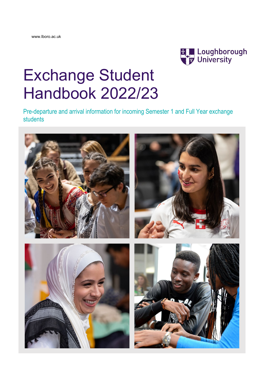

# Exchange Student Handbook 2022/23

Pre-departure and arrival information for incoming Semester 1 and Full Year exchange students

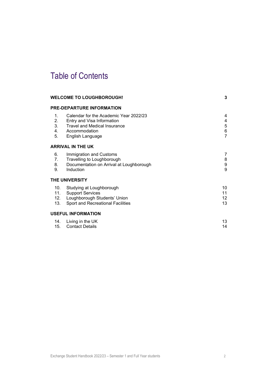# Table of Contents

|                                        | <b>WELCOME TO LOUGHBOROUGH!</b>                                                                                                                  | 3                                                |
|----------------------------------------|--------------------------------------------------------------------------------------------------------------------------------------------------|--------------------------------------------------|
|                                        | <b>PRE-DEPARTURE INFORMATION</b>                                                                                                                 |                                                  |
| $\mathbf{1}$ .<br>2.<br>3.<br>4.<br>5. | Calendar for the Academic Year 2022/23<br>Entry and Visa Information<br><b>Travel and Medical Insurance</b><br>Accommodation<br>English Language | 4<br>4<br>$\mathbf 5$<br>$\,6$<br>$\overline{7}$ |
|                                        | <b>ARRIVAL IN THE UK</b>                                                                                                                         |                                                  |
| 6.<br>7.<br>8.<br>9.                   | Immigration and Customs<br>Travelling to Loughborough<br>Documentation on Arrival at Loughborough<br>Induction                                   | 7<br>8<br>9<br>9                                 |
|                                        | <b>THE UNIVERSITY</b>                                                                                                                            |                                                  |
| 10.<br>12.<br>13.                      | Studying at Loughborough<br>11. Support Services<br>Loughborough Students' Union<br>Sport and Recreational Facilities                            | 10<br>11<br>12<br>13                             |
|                                        | <b>USEFUL INFORMATION</b>                                                                                                                        |                                                  |
| 14.<br>15.                             | Living in the UK<br><b>Contact Details</b>                                                                                                       | 13<br>14                                         |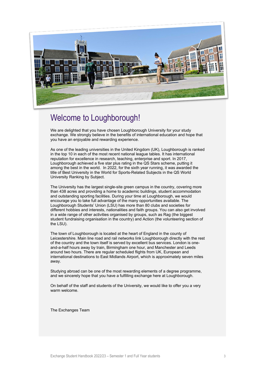

### <span id="page-2-0"></span>Welcome to Loughborough!

We are delighted that you have chosen Loughborough University for your study exchange. We strongly believe in the benefits of international education and hope that you have an enjoyable and rewarding experience.

As one of the leading universities in the United Kingdom (UK), Loughborough is ranked in the top 10 in each of the most recent national league tables. It has international reputation for excellence in research, teaching, enterprise and sport. In 2017, Loughborough achieved a five star plus rating in the QS Stars scheme, putting it among the best in the world. In 2022, for the sixth year running, it was awarded the title of Best University in the World for Sports-Related Subjects in the QS World University Ranking by Subject.

The University has the largest single-site green campus in the country, covering more than 438 acres and providing a home to academic buildings, student accommodation and outstanding sporting facilities. During your time at Loughborough, we would encourage you to take full advantage of the many opportunities available. The Loughborough Students' Union (LSU) has more than 80 clubs and societies for different hobbies and interests, nationalities and faith groups. You can also get involved in a wide range of other activities organised by groups, such as Rag (the biggest student fundraising organisation in the country) and Action (the volunteering section of the LSU).

The town of Loughborough is located at the heart of England in the county of Leicestershire. Main line road and rail networks link Loughborough directly with the rest of the country and the town itself is served by excellent bus services. London is oneand-a-half hours away by train, Birmingham one hour, and Manchester and Leeds around two hours. There are regular scheduled flights from UK, European and international destinations to East Midlands Airport, which is approximately seven miles away.

Studying abroad can be one of the most rewarding elements of a degree programme, and we sincerely hope that you have a fulfilling exchange here at Loughborough.

On behalf of the staff and students of the University, we would like to offer you a very warm welcome.

The Exchanges Team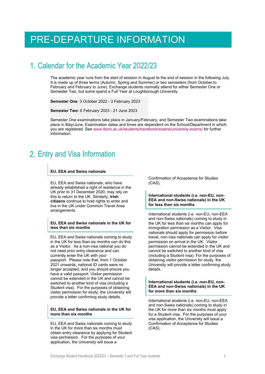# <span id="page-3-0"></span>PRE-DEPARTURE INFORMATION

### <span id="page-3-1"></span>Calendar for the Academic Year 2022/23

The academic year runs from the start of session in August to the end of session in the following July. It is made up of three terms (Autumn, Spring and Summer) or two semesters (from October to February and February to June). Exchange students normally attend for either Semester One or Semester Two, but some spend a Full Year at Loughborough University.

**Semester One**: 3 October 2022 - 3 February 2023

**Semester Two:** 6 February 2023 - 21 June 2023

Semester One examinations take place in January/February, and Semester Two examinations take place in May/June. Examination dates and times are dependent on the School/Department in which you are registered. See [www.lboro.ac.uk/students/handbook/exams/university-exams/](http://www.lboro.ac.uk/students/handbook/exams/university-exams/) for further information.

### <span id="page-3-2"></span>2. Entry and Visa Information

#### **EU, EEA and Swiss nationals**

EU, EEA and Swiss nationals, who have already established a right of residence in the UK prior to 31 December 2020, may rely on this to return to the UK. Similarly, **Irish citizens** continue to hold rights to enter and live in the UK under Common Travel Area arrangements.

#### **EU, EEA and Swiss nationals in the UK for less than six months**

EU, EEA and Swiss nationals coming to study in the UK for less than six months can do this as a Visitor. As a non-visa national you do not need prior entry clearance and can currently enter the UK with your passport. Please note that, from 1 October 2021 onwards, national ID cards were no longer accepted, and you should ensure you have a valid passport. Visitor permission cannot be extended in the UK and cannot be switched to another kind of visa (including a Student visa). For the purposes of obtaining visitor permission for study, the University will provide a letter confirming study details.

#### **EU, EEA and Swiss nationals in the UK for more than six months**

EU, EEA and Swiss nationals coming to study in the UK for more than six months must obtain entry clearance by applying for Student visa permission. For the purposes of your application, the University will issue a

Confirmation of Acceptance for Studies (CAS).

#### **International students (i.e. non-EU, non-EEA and non-Swiss nationals) in the UK for less than six months**

International students (i.e. non-EU, non-EEA and non-Swiss nationals) coming to study in the UK for less than six months can apply for immigration permission as a Visitor. Visa nationals should apply for permission before travel, non-visa nationals can apply for visitor permission on arrival in the UK. Visitor permission cannot be extended in the UK and cannot be switched to another kind of visa (including a Student visa). For the purposes of obtaining visitor permission for study, the University will provide a letter confirming study details.

#### **International students (i.e. non-EU, non-EEA and non-Swiss nationals) in the UK for more than six months**

International students (i.e. non-EU, non-EEA and non-Swiss nationals) coming to study in the UK for more than six months must apply for a Student visa. For the purposes of your visa application, the University will issue a Confirmation of Acceptance for Studies (CAS).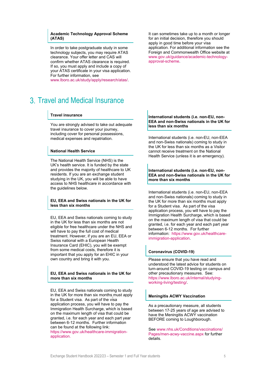#### **Academic Technology Approval Scheme (ATAS)**

In order to take postgraduate study in some technology subjects, you may require ATAS clearance. Your offer letter and CAS will confirm whether ATAS clearance is required. If so, you must apply and include a copy of your ATAS certificate in your visa application. For further information, see

[www.lboro.ac.uk/study/apply/research/atas/.](http://www.lboro.ac.uk/study/apply/research/atas/)

### <span id="page-4-0"></span>Travel and Medical Insurance

#### **Travel insurance**

You are strongly advised to take out adequate travel insurance to cover your journey, including cover for personal possessions, medical expenses and repatriation.

#### **National Health Service**

The National Health Service (NHS) is the UK's health service. It is funded by the state and provides the majority of healthcare to UK residents. If you are an exchange student studying in the UK, you will be able to have access to NHS healthcare in accordance with the guidelines below.

#### **EU, EEA and Swiss nationals in the UK for less than six months**

EU, EEA and Swiss nationals coming to study in the UK for less than six months are not eligible for free healthcare under the NHS and will have to pay the full cost of medical treatment. However, if you are an EU, EEA or Swiss national with a European Health Insurance Card (EHIC), you will be exempt from some medical costs, therefore it is important that you apply for an EHIC in your own country and bring it with you.

#### **EU, EEA and Swiss nationals in the UK for more than six months**

EU, EEA and Swiss nationals coming to study in the UK for more than six months must apply for a Student visa. As part of the visa application process, you will have to pay the Immigration Health Surcharge, which is based on the maximum length of visa that could be granted, i.e. for each year and each part year between 6-12 months. Further information can be found at the following link:

https://www.gov.uk/healthcare-immigrationapplication.

It can sometimes take up to a month or longer for an initial decision, therefore you should apply in good time before your visa application. For additional information see the Foreign and Commonwealth Office website at [www.gov.uk/guidance/academic-technology](http://www.gov.uk/guidance/academic-technology-approval-scheme)[approval-scheme.](http://www.gov.uk/guidance/academic-technology-approval-scheme)

#### **International students (i.e. non-EU, non-EEA and non-Swiss nationals in the UK for less than six months**

International students (i.e. non-EU, non-EEA and non-Swiss nationals) coming to study in the UK for less than six months as a Visitor cannot receive treatment on the National Health Service (unless it is an emergency).

#### **International students (i.e. non-EU, non-EEA and non-Swiss nationals in the UK for more than six months**

International students (i.e. non-EU, non-EEA and non-Swiss nationals) coming to study in the UK for more than six months must apply for a Student visa. As part of the visa application process, you will have to pay the Immigration Health Surcharge, which is based on the maximum length of visa that could be granted, i.e. for each year and each part year between 6-12 months. For further information: https://www.gov.uk/healthcareimmigration-application.

#### **Coronavirus (COVID-19)**

Please ensure that you have read and understood the latest advice for students on turn-around COVID-19 testing on campus and other precautionary measures. See: https://www.lboro.ac.uk/internal/studyingworking-living/testing/.

#### **Meningitis ACWY Vaccination**

As a precautionary measure, all students between 17-25 years of age are advised to have the Meningitis ACWY vaccination BEFORE coming to Loughborough.

See [www.nhs.uk/Conditions/vaccinations/](http://www.nhs.uk/Conditions/vaccinations/%0bPages/men-acwy-vaccine.aspx) [Pages/men-acwy-vaccine.aspx](http://www.nhs.uk/Conditions/vaccinations/%0bPages/men-acwy-vaccine.aspx) for further details.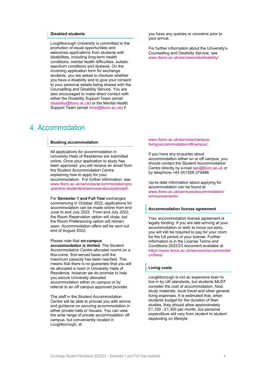#### **Disabled students**

Loughborough University is committed to the promotion of equal opportunities and welcomes applications from students with disabilities, including long-term health conditions, mental health difficulties, autistic spectrum conditions and dyslexia. On the incoming application form for exchange students, you are asked to disclose whether you have a disability and to give your consent to your personal details being shared with the Counselling and Disability Service. You are also encouraged to make direct contact with either the Disability Support Team (email [disability@lboro.ac.uk\)](mailto:disability@lboro.ac.uk) or the Mental Health Support Team (email mhst@lboro.ac.uk) if

### <span id="page-5-0"></span>Accommodation

#### **Booking accommodation**

All applications for accommodation in University Halls of Residence are submitted online. Once your application to study has been approved, you will receive an email from the Student Accommodation Centre explaining how to apply for your accommodation. For further information, see [www.lboro.ac.uk/services/accommodation/pro](http://www.lboro.ac.uk/services/accommodation/prospective-students/erasmusandstudyabroad/) [spective-students/erasmusandstudyabroad/.](http://www.lboro.ac.uk/services/accommodation/prospective-students/erasmusandstudyabroad/)

For **Semester 1 and Full Year** exchanges commencing in October 2022, applications for accommodation can be made online from end June to end July 2022. From end July 2022, the Room Reservation option will close, but the Room Preferencing option will remain open. Accommodation offers will be sent out end of August 2022.

#### Please note that *on-campus*

*accommodation is limited*. The Student Accommodation Centre allocates rooms on a first-come, first-served basis until the maximum capacity has been reached. This means that there is no guarantee that you will be allocated a room in University Halls of Residence, however we do promise to help you secure University allocated accommodation either on campus or by referral to an off campus approved provider.

The staff in the Student Accommodation Centre will be able to provide you with advice and guidance on securing accommodation in either private halls or houses. You can view the wide range of private accommodation off campus, but conveniently located in Loughborough, at

you have any queries or concerns prior to your arrival.

For further information about the University's Counselling and Disability Service, see [www.lboro.ac.uk/services/cds/disability/.](http://www.lboro.ac.uk/services/cds/disability/)

[www.lboro.ac.uk/services/campus](http://www.lboro.ac.uk/services/campus-living/accommodation/offcampus/)[living/accommodation/offcampus/.](http://www.lboro.ac.uk/services/campus-living/accommodation/offcampus/)

If you have any enquiries about accommodation either on or off campus, you should contact the Student Accommodation Centre directly by e-mail [sac@lboro.ac.uk](mailto:sac@lboro.ac.uk) or by telephone +44 (0)1509 274488.

Up-to-date information about applying for accommodation can be found at [www.lboro.ac.uk/services/accommodation/](http://www.lboro.ac.uk/services/accommodation/announcements/) [announcements/.](http://www.lboro.ac.uk/services/accommodation/announcements/)

#### **Accommodation license agreement**

Your accommodation license agreement is legally binding. If you are late arriving at your accommodation or wish to move out early, you will still be required to pay for your room for the full period of your license. Further information is in the License Terms and Conditions 2022/23 document available at https://www.lboro.ac.uk/services/accommodati on/fees/

#### **Living costs**

Loughborough is not an expensive town to live in by UK standards, but students MUST consider the cost of accommodation, food, study materials, local travel and other general living expenses. It is estimated that, when students budget for the duration of their studies, they should allow approximately £1,100 - £1,300 per month, but personal expenditure will vary from student to student depending on lifestyle.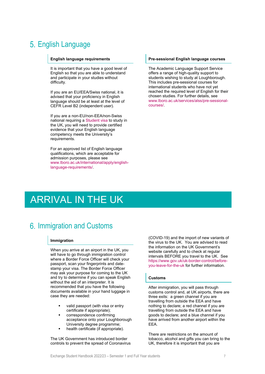### <span id="page-6-0"></span>5. English Language

#### **English language requirements**

It is important that you have a good level of English so that you are able to understand and participate in your studies without difficulty.

If you are an EU/EEA/Swiss national, it is advised that your proficiency in English language should be at least at the level of CEFR Level B2 (independent user).

If you are a non-EU/non-EEA/non-Swiss national requiring [a Student visa](https://www.gov.uk/student-visa) to study in the UK, you will need to provide certified evidence that your English language competency meets the University's requirements.

For an approved list of English language qualifications, which are acceptable for admission purposes, please see [www.lboro.ac.uk/international/apply/english](http://www.lboro.ac.uk/international/apply/english-language-requirements/)[language-requirements/.](http://www.lboro.ac.uk/international/apply/english-language-requirements/)

#### **Pre-sessional English language courses**

The Academic Language Support Service offers a range of high-quality support to students wishing to study at Loughborough. This includes pre-sessional courses for international students who have not yet reached the required level of English for their chosen studies. For further details, see [www.lboro.ac.uk/services/alss/pre-sessional](http://www.lboro.ac.uk/services/alss/pre-sessional-courses/)[courses/.](http://www.lboro.ac.uk/services/alss/pre-sessional-courses/)

# <span id="page-6-1"></span>ARRIVAL IN THE UK

### <span id="page-6-2"></span>6. Immigration and Customs

#### **Immigration**

When you arrive at an airport in the UK, you will have to go through immigration control where a Border Force Officer will check your passport, scan your fingerprints and datestamp your visa. The Border Force Officer may ask your purpose for coming to the UK and try to determine if you can speak English without the aid of an interpreter. It is recommended that you have the following documents available in your hand luggage in case they are needed:

- valid passport (with visa or entry certificate if appropriate);
- correspondence confirming acceptance onto your Loughborough University degree programme;
- health certificate (if appropriate).

The UK Government has introduced border controls to prevent the spread of Coronavirus (COVID-19) and the import of new variants of the virus to the UK. You are advised to read the information on the UK Government's website carefully and to check at regular intervals BEFORE you travel to the UK. See [https://www.gov.uk/uk-border-control/before](https://www.gov.uk/uk-border-control/before-you-leave-for-the-uk)[you-leave-for-the-uk](https://www.gov.uk/uk-border-control/before-you-leave-for-the-uk) for further information.

#### **Customs**

After immigration, you will pass through customs control and, at UK airports, there are three exits: a green channel if you are travelling from outside the EEA and have nothing to declare; a red channel if you are travelling from outside the EEA and have goods to declare; and a blue channel if you have arrived from another airport within the EEA.

There are restrictions on the amount of tobacco, alcohol and gifts you can bring to the UK, therefore it is important that you are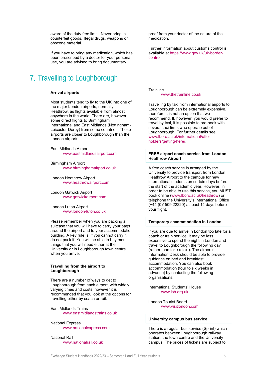aware of the duty free limit. Never bring in counterfeit goods, illegal drugs, weapons on obscene material.

If you have to bring any medication, which has been prescribed by a doctor for your personal use, you are advised to bring documentary

### <span id="page-7-0"></span>7. Travelling to Loughborough

#### **Arrival airports**

Most students tend to fly to the UK into one of the major London airports, normally Heathrow, as flights available from almost anywhere in the world. There are, however, some direct flights to Birmingham International and East Midlands (Nottingham-Leicester-Derby) from some countries. These airports are closer to Loughborough than the London airports.

East Midlands Airport [www.eastmidlandsairport.com](http://www.eastmidlandsairport.com/)

Birmingham Airport [www.birminghamairport.co.uk](http://www.birminghamairport.co.uk/)

London Heathrow Airport [www.heathrowairport.com](http://www.heathrowairport.com/)

London Gatwick Airport [www.gatwickairport.com](http://www.gatwickairport.com/)

London Luton Airport [www.london-luton.co.uk](http://www.london-luton.co.uk/)

Please remember when you are packing a suitcase that you will have to carry your bags around the airport and to your accommodation building. A key rule is, if you cannot carry it, do not pack it! You will be able to buy most things that you will need either at the University or in Loughborough town centre when you arrive.

#### **Travelling from the airport to Loughborough**

There are a number of ways to get to Loughborough from each airport, with widely varying times and costs, however it is recommended that you look at the options for travelling either by coach or rail.

East Midlands Trains [www.eastmidlandstrains.co.uk](http://www.eastmidlandstrains.co.uk/)

#### National Express

[www.nationalexpress.com](http://www.nationalexpress.com/)

National Rail [www.nationalrail.co.uk](http://www.nationalrail.co.uk/) proof from your doctor of the nature of the medication.

Further information about customs control is available at https://www.gov.uk/uk-bordercontrol.

Trainline

#### [www.thetrainline.co.uk](http://www.thetrainline.co.uk/)

Travelling by taxi from international airports to Loughborough can be extremely expensive, therefore it is not an option that we recommend. If, however, you would prefer to travel by taxi, it is possible to pre-book with several taxi firms who operate out of Loughborough. For further details see [www.lboro.ac.uk/international/offer](http://www.lboro.ac.uk/international/offer-holders/getting-here/)[holders/getting-here/.](http://www.lboro.ac.uk/international/offer-holders/getting-here/)

#### **FREE airport coach service from London Heathrow Airport**

A free coach service is arranged by the University to provide transport from London Heathrow Airport to the campus for new international students on certain days before the start of the academic year. However, in order to be able to use this service, you MUST book online [\(www.lboro.ac.uk/heathrow\)](http://www.lboro.ac.uk/heathrow) or telephone the University's International Office (+44 (0)1509 22220) at least 14 days before your flight.

#### **Temporary accommodation in London**

If you are due to arrive in London too late for a coach or train service, it may be less expensive to spend the night in London and travel to Loughborough the following day (rather than take a taxi). The airport's Information Desk should be able to provide guidance on bed and breakfast accommodation. You can also book accommodation (four to six weeks in advance) by contacting the following organisations:

International Students' House [www.ish.org.uk](http://www.ish.org.uk/)

London Tourist Board [www.visitlondon.com](http://www.visitlondon.com/)

#### **University campus bus service**

There is a regular bus service (Sprint) which operates between Loughborough railway station, the town centre and the University campus. The prices of tickets are subject to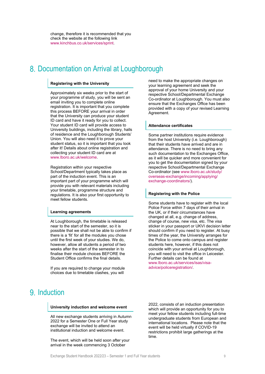change, therefore it is recommended that you check the website at the following link [www.kinchbus.co.uk/services/sprint.](http://www.kinchbus.co.uk/services/sprint)

### <span id="page-8-0"></span>8. Documentation on Arrival at Loughborough

#### **Registering with the University**

Approximately six weeks prior to the start of your programme of study, you will be sent an email inviting you to complete online registration. It is important that you complete this process BEFORE your arrival in order that the University can produce your student ID card and have it ready for you to collect. Your student ID card will provide access to University buildings, including the library, halls of residence and the Loughborough Students' Union. You will also need it to prove your student status, so it is important that you look after it! Details about online registration and collecting your student ID card are at [www.lboro.ac.uk/welcome.](http://www.lboro.ac.uk/welcome)

Registration within your respective School/Department typically takes place as part of the induction event. This is an important part of your programme which will provide you with relevant materials including your timetable, programme structure and regulations. It is also your first opportunity to meet fellow students.

#### **Learning agreements**

At Loughborough, the timetable is released near to the start of the semester, so it is possible that we shall not be able to confirm if there is a 'fit' for all the modules you chose until the first week of your studies. We do, however, allow all students a period of two weeks after the start of the semester in to finalise their module choices BEFORE the Student Office confirms the final details.

If you are required to change your module choices due to timetable clashes, you will

<span id="page-8-1"></span>9. Induction

#### **University induction and welcome event**

All new exchange students arriving in Autumn 2022 for a Semester One or Full Year study exchange will be invited to attend an institutional induction and welcome event.

The event, which will be held soon after your arrival in the week commencing 3 October

need to make the appropriate changes on your learning agreement and seek the approval of your home University and your respective School/Departmental Exchange Co-ordinator at Loughborough. You must also ensure that the Exchanges Office has been provided with a copy of your revised Learning Agreement.

#### **Attendance certificates**

Some partner institutions require evidence from the host University (i.e. Loughborough) that their students have arrived and are in attendance. There is no need to bring any such documentation to the Exchanges Office, as it will be quicker and more convenient for you to get the documentation signed by your respective School/Departmental Exchange Co-ordinator (see [www.lboro.ac.uk/study/](http://www.lboro.ac.uk/study/overseas-exchange/incoming/applying/exchange-coordinators/) [overseas-exchange/incoming/applying/](http://www.lboro.ac.uk/study/overseas-exchange/incoming/applying/exchange-coordinators/) [exchange-coordinators/\)](http://www.lboro.ac.uk/study/overseas-exchange/incoming/applying/exchange-coordinators/).

#### **Registering with the Police**

Some students have to register with the local Police Force within 7 days of their arrival in the UK, or if their circumstances have changed at all, e.g. change of address, change of course, new visa, etc. The visa sticker in your passport or UKVI decision letter should confirm if you need to register. At busy times of the year, the University arranges for the Police to come onto campus and register students here, however, if this does not coincide with your arrival at Loughborough, you will need to visit the office in Leicester. Further details can be found at [www.lboro.ac.uk/services/isas/visa](http://www.lboro.ac.uk/services/isas/visa-advice/policeregistration/)[advice/policeregistration/.](http://www.lboro.ac.uk/services/isas/visa-advice/policeregistration/)

2022, consists of an induction presentation which will provide an opportunity for you to meet your fellow students including full-time undergraduate students from European and international locations. Please note that the event will be held virtually if COVID-19 restrictions prohibit large gatherings at the time.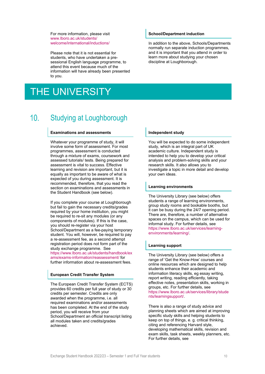For more information, please visit [www.lboro.ac.uk/students/](http://www.lboro.ac.uk/students/welcome/international/inductions/) [welcome/international/inductions/](http://www.lboro.ac.uk/students/welcome/international/inductions/)

Please note that it is not essential for students, who have undertaken a presessional English language programme, to attend this event because much of the information will have already been presented to you.

# <span id="page-9-0"></span>THE UNIVERSITY

#### <span id="page-9-1"></span> $10<sup>1</sup>$ Studying at Loughborough

#### **Examinations and assessments**

Whatever your programme of study, it will involve some form of assessment. For most programmes, assessment is conducted through a mixture of exams, coursework and assessed tutorials/ tests. Being prepared for assessment is vital to success. Effective learning and revision are important, but it is equally as important to be aware of what is expected of you during assessment. It is recommended, therefore, that you read the section on examinations and assessments in the Student Handbook (see below).

If you complete your course at Loughborough but fail to gain the necessary credits/grades required by your home institution, you might be required to re-sit any modules (or any components of modules). If this is the case, you should re-register via your host School/Department as a fee-paying temporary student. You will, however, be required to pay a re-assessment fee, as a second attempt registration period does not form part of the study exchange programme. See [https://www.lboro.ac.uk/students/handbook/ex](https://www.lboro.ac.uk/students/handbook/exams/exams-information/reassessment/) [ams/exams-information/reassessment/](https://www.lboro.ac.uk/students/handbook/exams/exams-information/reassessment/) for further information about re-assessment fees.

#### **European Credit Transfer System**

The European Credit Transfer System (ECTS) provides 60 credits per full year of study or 30 credits per semester. Credits are only awarded when the programme, i.e. all required examinations and/or assessments has been completed. At the end of the study period, you will receive from your School/Department an official transcript listing all modules taken and credits/grades achieved.

#### **School/Department induction**

In addition to the above, Schools/Departments normally run separate induction programmes, and it is important that you attend in order to learn more about studying your chosen discipline at Loughborough.

#### **Independent study**

You will be expected to do some independent study, which is an integral part of UK academic culture. Independent study is intended to help you to develop your critical analysis and problem-solving skills and your research skills. It also allows you to investigate a topic in more detail and develop your own ideas.

#### **Learning environments**

The University Library (see below) offers students a range of learning environments, group study rooms and bookable booths, but it can be busy during the 24/7 opening period. There are, therefore, a number of alternative spaces on the campus, which can be used for informal study. For further details, see [https://www.lboro.ac.uk/services/learning](https://www.lboro.ac.uk/services/learning-environments/learning/)[environments/learning/.](https://www.lboro.ac.uk/services/learning-environments/learning/)

#### **Learning support**

The University Library (see below) offers a range of 'Get the Know-How' courses and online resources which are designed to help students enhance their academic and information literacy skills, eg essay writing, report writing, reading efficiently, taking effective notes, presentation skills, working in groups, etc. For further details, see [https://www.lboro.ac.uk/services/library/stude](https://www.lboro.ac.uk/services/library/students/learningsupport/) [nts/learningsupport/.](https://www.lboro.ac.uk/services/library/students/learningsupport/)

There is also a range of study advice and planning sheets which are aimed at improving specific study skills and helping students to keep on top of things, e. g. critical thinking, citing and referencing Harvard style, developing mathematical skills, revision and exam skills, task sheets, weekly planners, etc. For further details, see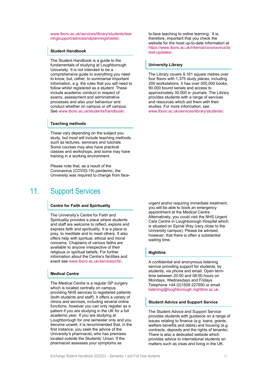[www.lboro.ac.uk/services/library/students/lear](http://www.lboro.ac.uk/services/library/students/learningsupport/adviceandplanningsheets/) [ningsupport/adviceandplanningsheets/.](http://www.lboro.ac.uk/services/library/students/learningsupport/adviceandplanningsheets/)

#### **Student Handbook**

The Student Handbook is a guide to the fundamentals of studying at Loughborough University. It is not intended to be a comprehensive guide to everything you need to know, but, rather, to summarise important information, e.g. the rules that you will need to follow whilst registered as a student. These include academic conduct in respect of exams, assessment and administrative processes and also your behaviour and conduct whether on campus or off campus. See [www.lboro.ac.uk/students/handbook/.](http://www.lboro.ac.uk/students/handbook/)

#### **Teaching methods**

These vary depending on the subject you study, but most will include teaching methods such as lectures, seminars and tutorials. Some courses may also have practical classes and workshops, and some may have training in a working environment.

<span id="page-10-0"></span>Please note that, as a result of the Coronavirus (COVID-19) pandemic, the University was required to change from face-

#### $11.$ Support Services

#### **Centre for Faith and Spirituality**

The University's Centre for Faith and Spirituality provides a place where students and staff are welcome to reflect, explore and express faith and spirituality. It is a place to pray, to meditate and to meet others. It also offers help with spiritual, ethical and moral concerns. Chaplains of various faiths are available to anyone irrespective of their religious or spiritual beliefs. For further information about the Centre's facilities and event see [www.lboro.ac.uk/services/cfs/.](http://www.lboro.ac.uk/services/cfs/)

#### **Medical Centre**

The Medical Centre is a regular GP surgery which is located centrally on campus, providing NHS services to registered patients (both students and staff). It offers a variety of clinics and services, including several online functions, however you can only register as a patient if you are studying in the UK for a full academic year. If you are studying at Loughborough for one semester only and you become unwell, it is recommended that, in the first instance, you seek the advice of the University's pharmacist, who has premises located outside the Students' Union. If the pharmacist assesses your symptoms as

to-face teaching to online learning. It is, therefore, important that you check the website for the most up-to-date information at https://www.lboro.ac.uk/internal/coronavirus/la test-updates/.

#### **University Library**

The Library covers 9,161 square metres over four floors with 1,375 study places, including 200 workstations. It has over 500,000 books, 90,000 bound serials and access to approximately 30,000 e- journals. The Library provides students with a range of services and resources which aid them with their studies. For more information, see [www.lboro.ac.uk/services/library/students/.](http://www.lboro.ac.uk/services/library/students/)

urgent and/or requiring immediate treatment, you will be able to book an emergency appointment at the Medical Centre. Alternatively, you could visit the NHS Urgent Care Centre in Loughborough Hospital which is situated on Epinal Way (very close to the University campus). Please be advised, however, that there is often a substantial waiting time.

#### **Nightline**

A confidential and anonymous listening service providing support for students, by students, via phone and email. Open termtime between 20:00 and 08:00 hours on Mondays, Wednesdays and Fridays. Telephone +44 (0)1509 227650 or email [listening@loughborough.nightline.ac.uk.](mailto:listening@loughborough.nightline.ac.uk)

#### **Student Advice and Support Service**

The Student Advice and Support Service provides students with guidance on a range of issues relating to finance (e.g. loans, grants, welfare benefits and debts) and housing (e.g. contracts, deposits and the rights of tenants). There is also a dedicated website which provides advice to international students on matters such as visas and living in the UK.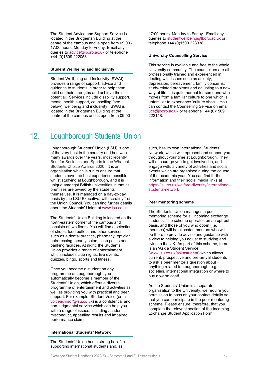The Student Advice and Support Service is located in the Bridgeman Building at the centre of the campus and is open from 09:00 - 17:00 hours, Monday to Friday. Email any queries to [advice@lboro.ac.uk](mailto:advice@lboro.ac.uk) or telephone +44 (0)1509 222058.

#### **Student Wellbeing and Inclusivity**

Student Wellbeing and Inclusivity (SWAI) provides a range of support, advice and guidance to students in order to help them build on their strengths and achieve their potential. Services include disability support, mental health support, counselling (see below), wellbeing and inclusivity. SWAI is located in the Bridgeman Building at the centre of the campus and is open from 09:00 -

<span id="page-11-0"></span> $12.$ Loughborough Students' Union

> Loughborough Students' Union (LSU) is one of the very best in the country and has won many awards over the years, most recently Best for Societies and Sports in the Whatuni Students Choice Awards 2020. It is an organisation which is run to ensure that students have the best experience possible whilst studying at Loughborough, and it is unique amongst British universities in that its premises are owned by the students themselves. It is managed on a day-to-day basis by the LSU Executive, with scrutiny from the Union Council. You can find further details about the Students' Union a[t www.lsu.co.uk.](http://www.lsu.co.uk/)

> The Students' Union Building is located on the north-eastern corner of the campus and consists of two floors. You will find a selection of shops, food outlets and other services, such as a dental practice, pharmacy, optician, hairdressing, beauty salon, cash points and banking facilities. At night, the Students' Union provides a range of entertainment which includes club nights, live events, quizzes, bingo, sports and fitness.

Once you become a student on any programme at Loughborough, you automatically become a member of the Students' Union, which offers a diverse programme of entertainment and activities as well as providing you with practical and peer support. For example, Student Voice (email [voiceadvisor@lsu.co.uk\)](mailto:voiceadvisor@lsu.co.uk) is a confidential and non-judgmental service which can help you with a range of issues, including academic misconduct, appealing results and impaired performance claims.

#### **International Students' Network**

The Students' Union has a strong belief in supporting international students and, as

17:00 hours, Monday to Friday. Email any queries to [studentwellbeing@lboro.ac.uk](mailto:studentwellbeing@lboro.ac.uk) or telephone +44 (0)1509 228338.

#### **University Counselling Service**

This service is available and free to the whole University community. The counsellors are all professionally trained and experienced in dealing with issues such as anxiety, depression, bereavement, family concerns, study-related problems and adjusting to a new way of life. It is quite normal for someone who moves from a familiar culture to one which is unfamiliar to experience 'culture shock'. You can contact the Counselling Service on email [ucs@lboro.ac.uk](mailto:ucs@lboro.ac.uk) or telephone +44 (0)1509 222148.

such, has its own International Students' Network, which will represent and support you throughout your time at Loughborough. They will encourage you to get involved in, and engage with, a variety of activities and social events which are organised during the course of the academic year. You can find further information and their social media links at [https://lsu.co.uk/welfare-diversity/international](https://lsu.co.uk/welfare-diversity/international-students-network)[students-network](https://lsu.co.uk/welfare-diversity/international-students-network)

#### **Peer mentoring scheme**

The Students' Union manages a peer mentoring scheme for all incoming exchange students. The scheme operates on an opt-out basis, and those of you who opt-in (i.e. mentees) will be allocated mentors who will be there to provide advice and guidance with a view to helping you adjust to studying and living in the UK. As part of this scheme, there is an 'Ask a Student Service' [\(www.lsu.co.uk/askastudent\)](http://www.lsu.co.uk/askastudent) which allows current, prospective and pre-arrival students to ask a peer mentor a question about anything related to Loughborough, e.g. societies, international integration or where to buy a warm coat!

As the Students' Union is a separate organisation to the University, we require your permission to pass on your contact details so that you can participate in the peer mentoring scheme. Please ensure, therefore, that you complete the relevant section of the Incoming Exchange Student Application Form.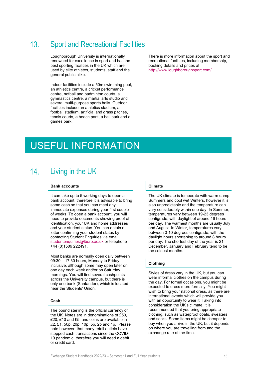#### <span id="page-12-0"></span> $13.$ Sport and Recreational Facilities

Loughborough University is internationally renowned for excellence in sport and has the best sporting facilities in the UK which are used by elite athletes, students, staff and the general public alike.

Indoor facilities include a 50m swimming pool, an athletics centre, a cricket performance centre, netball and badminton courts, a gymnastics centre, a martial arts studio and several multi-purpose sports halls. Outdoor facilities include an athletics stadium, a football stadium, artificial and grass pitches, tennis courts, a beach park, a ball park and a games park.

There is more information about the sport and recreational facilities, including membership, booking details and prices at [http://www.loughboroughsport.com/.](http://www.loughboroughsport.com/)

# <span id="page-12-1"></span>USEFUL INFORMATION

#### <span id="page-12-2"></span> $14$ Living in the UK

#### **Bank accounts**

It can take up to 5 working days to open a bank account, therefore it is advisable to bring some cash so that you can meet any immediate expenses during your first couple of weeks. To open a bank account, you will need to provide documents showing proof of identification, your UK and home addresses and your student status. You can obtain a letter confirming your student status by contacting Student Enquiries via email [studentenquiries@lboro.ac.uk](mailto:studentenquiries@lboro.ac.uk) or telephone +44 (0)1509 222491.

Most banks are normally open daily between 09:30 – 17:30 hours, Monday to Friday inclusive, although some may open later on one day each week and/or on Saturday mornings. You will find several cashpoints across the University campus, but there is only one bank (Santander), which is located near the Students' Union.

#### **Cash**

The pound sterling is the official currency of the UK. Notes are in denominations of £50, £20, £10 and £5, and coins are available in £2, £1, 50p, 20p, 10p, 5p, 2p and 1p. Please note however, that many retail outlets have stopped cash transactions since the COVID-19 pandemic, therefore you will need a debit or credit card.

#### **Climate**

The UK climate is temperate with warm damp Summers and cool wet Winters, however it is also unpredictable and the temperature can vary considerably within one day. In Summer, temperatures vary between 19-23 degrees centigrade, with daylight of around 16 hours per day. The warmest months are usually July and August. In Winter, temperatures vary between 0-10 degrees centigrade, with the daylight hours shortening to around 8 hours per day. The shortest day of the year is 21 December. January and February tend to be the coldest months.

#### **Clothing**

Styles of dress vary in the UK, but you can wear informal clothes on the campus during the day. For formal occasions, you might be expected to dress more formally. You might wish to bring your national dress, as there are international events which will provide you with an opportunity to wear it. Taking into consideration the UK's climate, it is recommended that you bring appropriate clothing, such as waterproof coats, sweaters and socks. Some items might be cheaper to buy when you arrive in the UK, but it depends on where you are travelling from and the exchange rate at the time.